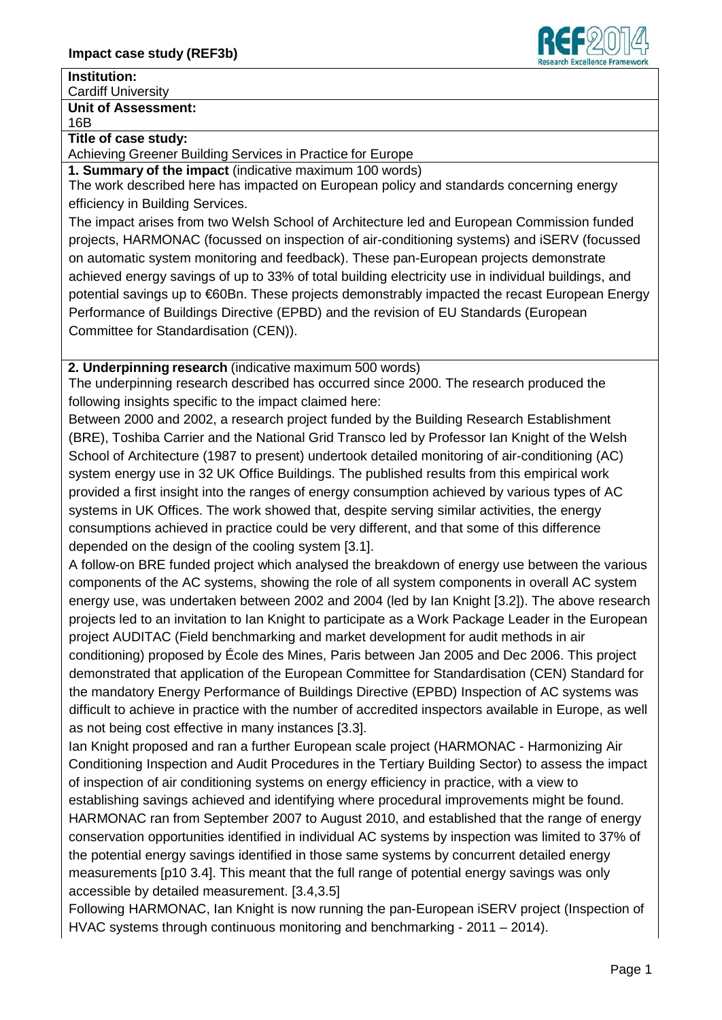

#### **Institution:**

Cardiff University

# **Unit of Assessment:**

16B

#### **Title of case study:**

Achieving Greener Building Services in Practice for Europe

**1. Summary of the impact** (indicative maximum 100 words)

The work described here has impacted on European policy and standards concerning energy efficiency in Building Services.

The impact arises from two Welsh School of Architecture led and European Commission funded projects, HARMONAC (focussed on inspection of air-conditioning systems) and iSERV (focussed on automatic system monitoring and feedback). These pan-European projects demonstrate achieved energy savings of up to 33% of total building electricity use in individual buildings, and potential savings up to €60Bn. These projects demonstrably impacted the recast European Energy Performance of Buildings Directive (EPBD) and the revision of EU Standards (European Committee for Standardisation (CEN)).

**2. Underpinning research** (indicative maximum 500 words)

The underpinning research described has occurred since 2000. The research produced the following insights specific to the impact claimed here:

Between 2000 and 2002, a research project funded by the Building Research Establishment (BRE), Toshiba Carrier and the National Grid Transco led by Professor Ian Knight of the Welsh School of Architecture (1987 to present) undertook detailed monitoring of air-conditioning (AC) system energy use in 32 UK Office Buildings. The published results from this empirical work provided a first insight into the ranges of energy consumption achieved by various types of AC systems in UK Offices. The work showed that, despite serving similar activities, the energy consumptions achieved in practice could be very different, and that some of this difference depended on the design of the cooling system [3.1].

A follow-on BRE funded project which analysed the breakdown of energy use between the various components of the AC systems, showing the role of all system components in overall AC system energy use, was undertaken between 2002 and 2004 (led by Ian Knight [3.2]). The above research projects led to an invitation to Ian Knight to participate as a Work Package Leader in the European project AUDITAC (Field benchmarking and market development for audit methods in air conditioning) proposed by École des Mines, Paris between Jan 2005 and Dec 2006. This project demonstrated that application of the European Committee for Standardisation (CEN) Standard for the mandatory Energy Performance of Buildings Directive (EPBD) Inspection of AC systems was difficult to achieve in practice with the number of accredited inspectors available in Europe, as well as not being cost effective in many instances [3.3].

Ian Knight proposed and ran a further European scale project (HARMONAC - Harmonizing Air Conditioning Inspection and Audit Procedures in the Tertiary Building Sector) to assess the impact of inspection of air conditioning systems on energy efficiency in practice, with a view to establishing savings achieved and identifying where procedural improvements might be found. HARMONAC ran from September 2007 to August 2010, and established that the range of energy conservation opportunities identified in individual AC systems by inspection was limited to 37% of the potential energy savings identified in those same systems by concurrent detailed energy measurements [p10 3.4]. This meant that the full range of potential energy savings was only accessible by detailed measurement. [3.4,3.5]

Following HARMONAC, Ian Knight is now running the pan-European iSERV project (Inspection of HVAC systems through continuous monitoring and benchmarking - 2011 – 2014).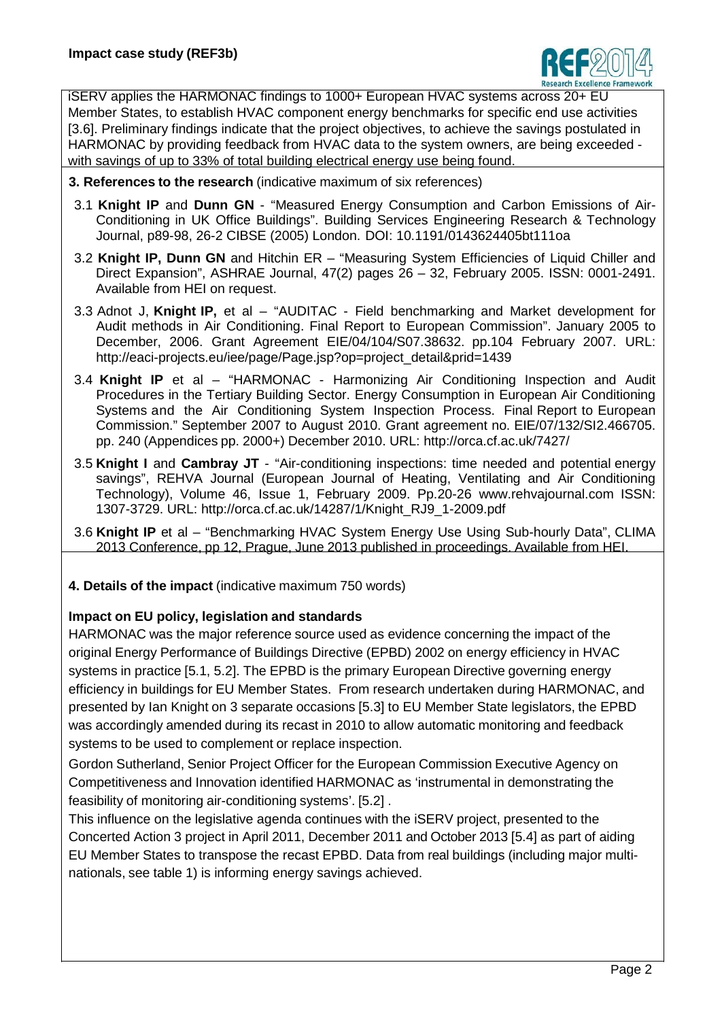

iSERV applies the HARMONAC findings to 1000+ European HVAC systems across 20+ EU Member States, to establish HVAC component energy benchmarks for specific end use activities [3.6]. Preliminary findings indicate that the project objectives, to achieve the savings postulated in HARMONAC by providing feedback from HVAC data to the system owners, are being exceeded with savings of up to 33% of total building electrical energy use being found.

- **3. References to the research** (indicative maximum of six references)
- 3.1 **Knight IP** and **Dunn GN** "Measured Energy Consumption and Carbon Emissions of Air-Conditioning in UK Office Buildings". Building Services Engineering Research & Technology Journal, p89-98, 26-2 CIBSE (2005) London. DOI: 10.1191/0143624405bt111oa
- 3.2 **Knight IP, Dunn GN** and Hitchin ER "Measuring System Efficiencies of Liquid Chiller and Direct Expansion", ASHRAE Journal, 47(2) pages 26 – 32, February 2005. ISSN: 0001-2491. Available from HEI on request.
- 3.3 Adnot J, **Knight IP,** et al "AUDITAC Field benchmarking and Market development for Audit methods in Air Conditioning. Final Report to European Commission". January 2005 to December, 2006. Grant Agreement EIE/04/104/S07.38632. pp.104 February 2007. URL: http://eaci-projects.eu/iee/page/Page.jsp?op=project\_detail&prid=1439
- 3.4 **Knight IP** et al "HARMONAC Harmonizing Air Conditioning Inspection and Audit Procedures in the Tertiary Building Sector. Energy Consumption in European Air Conditioning Systems and the Air Conditioning System Inspection Process. Final Report to European Commission." September 2007 to August 2010. Grant agreement no. EIE/07/132/SI2.466705. pp. 240 (Appendices pp. 2000+) December 2010. URL: http://orca.cf.ac.uk/7427/
- 3.5 **Knight I** and **Cambray JT** "Air-conditioning inspections: time needed and potential energy savings", REHVA Journal (European Journal of Heating, Ventilating and Air Conditioning Technology), Volume 46, Issue 1, February 2009. Pp.20-26 [www.rehvajournal.com](http://www.rehvajournal.com/) ISSN: 1307-3729. URL: http://orca.cf.ac.uk/14287/1/Knight\_RJ9\_1-2009.pdf
- 3.6 **Knight IP** et al "Benchmarking HVAC System Energy Use Using Sub-hourly Data", CLIMA 2013 Conference, pp 12, Prague, June 2013 published in proceedings. Available from HEI.
- **4. Details of the impact** (indicative maximum 750 words)

### **Impact on EU policy, legislation and standards**

HARMONAC was the major reference source used as evidence concerning the impact of the original Energy Performance of Buildings Directive (EPBD) 2002 on energy efficiency in HVAC systems in practice [5.1, 5.2]. The EPBD is the primary European Directive governing energy efficiency in buildings for EU Member States. From research undertaken during HARMONAC, and presented by Ian Knight on 3 separate occasions [5.3] to EU Member State legislators, the EPBD was accordingly amended during its recast in 2010 to allow automatic monitoring and feedback systems to be used to complement or replace inspection.

Gordon Sutherland, Senior Project Officer for the European Commission Executive Agency on Competitiveness and Innovation identified HARMONAC as 'instrumental in demonstrating the feasibility of monitoring air-conditioning systems'. [5.2] .

This influence on the legislative agenda continues with the iSERV project, presented to the Concerted Action 3 project in April 2011, December 2011 and October 2013 [5.4] as part of aiding EU Member States to transpose the recast EPBD. Data from real buildings (including major multinationals, see table 1) is informing energy savings achieved.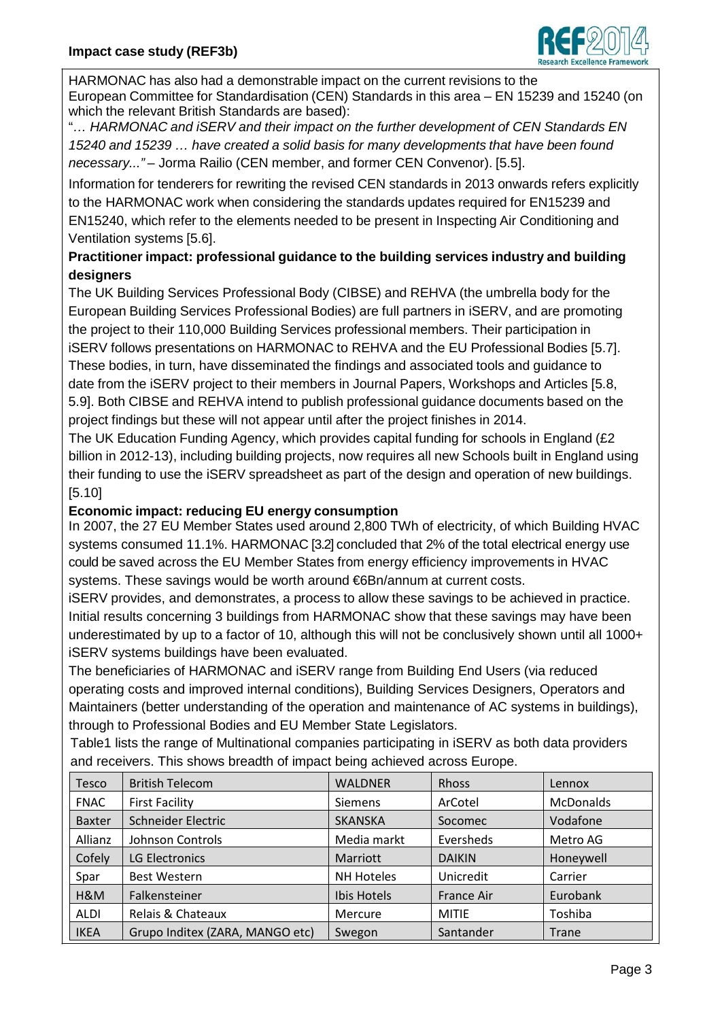

HARMONAC has also had a demonstrable impact on the current revisions to the European Committee for Standardisation (CEN) Standards in this area – EN 15239 and 15240 (on which the relevant British Standards are based):

"*… HARMONAC and iSERV and their impact on the further development of CEN Standards EN 15240 and 15239 … have created a solid basis for many developments that have been found necessary..."* – Jorma Railio (CEN member, and former CEN Convenor). [5.5].

Information for tenderers for rewriting the revised CEN standards in 2013 onwards refers explicitly to the HARMONAC work when considering the standards updates required for EN15239 and EN15240, which refer to the elements needed to be present in Inspecting Air Conditioning and Ventilation systems [5.6].

## **Practitioner impact: professional guidance to the building services industry and building designers**

The UK Building Services Professional Body (CIBSE) and REHVA (the umbrella body for the European Building Services Professional Bodies) are full partners in iSERV, and are promoting the project to their 110,000 Building Services professional members. Their participation in iSERV follows presentations on HARMONAC to REHVA and the EU Professional Bodies [5.7]. These bodies, in turn, have disseminated the findings and associated tools and guidance to date from the iSERV project to their members in Journal Papers, Workshops and Articles [5.8, 5.9]. Both CIBSE and REHVA intend to publish professional guidance documents based on the project findings but these will not appear until after the project finishes in 2014.

The UK Education Funding Agency, which provides capital funding for schools in England (£2 billion in 2012-13), including building projects, now requires all new Schools built in England using their funding to use the iSERV spreadsheet as part of the design and operation of new buildings. [5.10]

#### **Economic impact: reducing EU energy consumption**

In 2007, the 27 EU Member States used around 2,800 TWh of electricity, of which Building HVAC systems consumed 11.1%. HARMONAC [3.2] concluded that 2% of the total electrical energy use could be saved across the EU Member States from energy efficiency improvements in HVAC systems. These savings would be worth around €6Bn/annum at current costs.

iSERV provides, and demonstrates, a process to allow these savings to be achieved in practice. Initial results concerning 3 buildings from HARMONAC show that these savings may have been underestimated by up to a factor of 10, although this will not be conclusively shown until all 1000+ iSERV systems buildings have been evaluated.

The beneficiaries of HARMONAC and iSERV range from Building End Users (via reduced operating costs and improved internal conditions), Building Services Designers, Operators and Maintainers (better understanding of the operation and maintenance of AC systems in buildings), through to Professional Bodies and EU Member State Legislators.

Table1 lists the range of Multinational companies participating in iSERV as both data providers and receivers. This shows breadth of impact being achieved across Europe.

| <b>Tesco</b>  | <b>British Telecom</b>          | <b>WALDNER</b>    | Rhoss             | Lennox           |
|---------------|---------------------------------|-------------------|-------------------|------------------|
| <b>FNAC</b>   | <b>First Facility</b>           | <b>Siemens</b>    | ArCotel           | <b>McDonalds</b> |
| <b>Baxter</b> | Schneider Electric              | <b>SKANSKA</b>    | Socomec           | Vodafone         |
| Allianz       | Johnson Controls                | Media markt       | Eversheds         | Metro AG         |
| Cofely        | LG Electronics                  | Marriott          | <b>DAIKIN</b>     | Honeywell        |
| Spar          | <b>Best Western</b>             | <b>NH Hoteles</b> | Unicredit         | Carrier          |
| H&M           | Falkensteiner                   | Ibis Hotels       | <b>France Air</b> | Eurobank         |
| <b>ALDI</b>   | Relais & Chateaux               | Mercure           | <b>MITIE</b>      | Toshiba          |
| <b>IKEA</b>   | Grupo Inditex (ZARA, MANGO etc) | Swegon            | Santander         | Trane            |